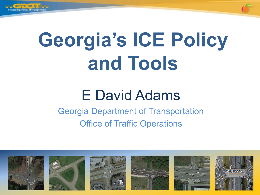

# **Georgia's ICE Policy and Tools**

#### E David Adams

#### Georgia Department of Transportation Office of Traffic Operations

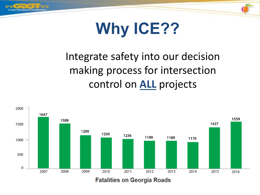

### **Why ICE??**

#### Integrate safety into our decision making process for intersection control on **ALL** projects

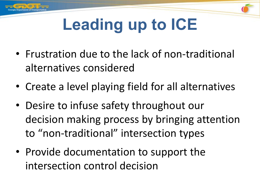## **Leading up to ICE**

- Frustration due to the lack of non-traditional alternatives considered
- Create a level playing field for all alternatives
- Desire to infuse safety throughout our decision making process by bringing attention to "non-traditional" intersection types
- Provide documentation to support the intersection control decision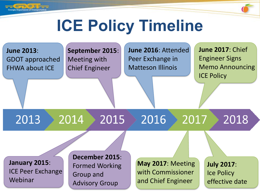

## **ICE Policy Timeline**

**June 2013**: GDOT approached FHWA about ICE

**September 2015**: Meeting with Chief Engineer

**June 2016**: Attended Peer Exchange in Matteson Illinois

**June 2017**: Chief Engineer Signs Memo Announcing ICE Policy

2014 2017 2013 2015 2016

**January 2015**: ICE Peer Exchange Webinar

**December 2015**: Formed Working Group and Advisory Group

**May 2017**: Meeting with Commissioner and Chief Engineer

**July 2017**: Ice Policy effective date

2018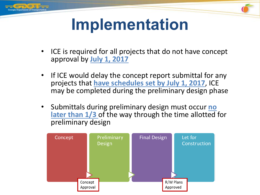

#### **Implementation**

- ICE is required for all projects that do not have concept approval by **July 1, 2017**
- If ICE would delay the concept report submittal for any projects that **have schedules set by July 1, 2017**, ICE may be completed during the preliminary design phase
- Submittals during preliminary design must occur **no**  later than 1/3 of the way through the time allotted for preliminary design

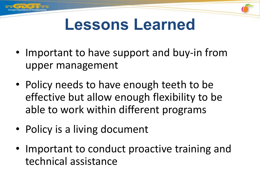

#### **Lessons Learned**

- Important to have support and buy-in from upper management
- Policy needs to have enough teeth to be effective but allow enough flexibility to be able to work within different programs
- Policy is a living document
- Important to conduct proactive training and technical assistance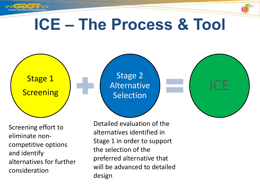

#### **ICE – The Process & Tool**

Stage 1 **Screening** 

Screening effort to eliminate noncompetitive options and identify alternatives for further consideration

Stage 2 Alternative Selection

ICE

Detailed evaluation of the alternatives identified in Stage 1 in order to support the selection of the preferred alternative that will be advanced to detailed design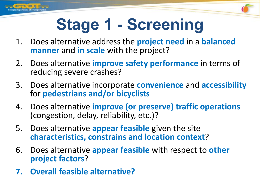

## **Stage 1 - Screening**

- 1. Does alternative address the **project need** in a **balanced manner** and **in scale** with the project?
- 2. Does alternative **improve safety performance** in terms of reducing severe crashes?
- 3. Does alternative incorporate **convenience** and **accessibility** for **pedestrians and/or bicyclists**
- 4. Does alternative **improve (or preserve) traffic operations**  (congestion, delay, reliability, etc.)?
- 5. Does alternative **appear feasible** given the site **characteristics, constrains and location context**?
- 6. Does alternative **appear feasible** with respect to **other project factors**?
- **7. Overall feasible alternative?**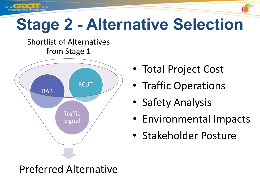

#### Shortlist of Alternatives from Stage 1



- Total Project Cost
- Traffic Operations
- Safety Analysis
- Environmental Impacts
- Stakeholder Posture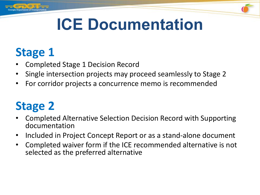

## **ICE Documentation**

#### **Stage 1**

- Completed Stage 1 Decision Record
- Single intersection projects may proceed seamlessly to Stage 2
- For corridor projects a concurrence memo is recommended

#### **Stage 2**

- Completed Alternative Selection Decision Record with Supporting documentation
- Included in Project Concept Report or as a stand-alone document
- Completed waiver form if the ICE recommended alternative is not selected as the preferred alternative